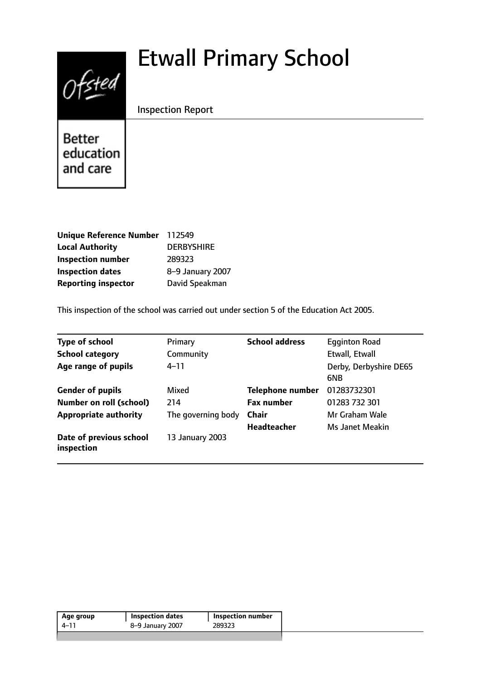# Etwall Primary School



Inspection Report

Better education and care

| Unique Reference Number 112549 |                   |
|--------------------------------|-------------------|
| <b>Local Authority</b>         | <b>DERBYSHIRE</b> |
| <b>Inspection number</b>       | 289323            |
| <b>Inspection dates</b>        | 8-9 January 2007  |
| <b>Reporting inspector</b>     | David Speakman    |

This inspection of the school was carried out under section 5 of the Education Act 2005.

| <b>Type of school</b><br><b>School category</b> | Primary<br>Community | <b>School address</b>   | <b>Egginton Road</b><br>Etwall, Etwall |
|-------------------------------------------------|----------------------|-------------------------|----------------------------------------|
| Age range of pupils                             | $4 - 11$             |                         | Derby, Derbyshire DE65<br>6NB          |
| <b>Gender of pupils</b>                         | Mixed                | <b>Telephone number</b> | 01283732301                            |
| <b>Number on roll (school)</b>                  | 214                  | <b>Fax number</b>       | 01283 732 301                          |
| <b>Appropriate authority</b>                    | The governing body   | <b>Chair</b>            | Mr Graham Wale                         |
|                                                 |                      | <b>Headteacher</b>      | Ms Janet Meakin                        |
| Date of previous school<br>inspection           | 13 January 2003      |                         |                                        |

| Age group | <b>I</b> Inspection dates | 'Inspection number |  |
|-----------|---------------------------|--------------------|--|
| 1-11      | 8-9 January 2007          | 289323             |  |
|           |                           |                    |  |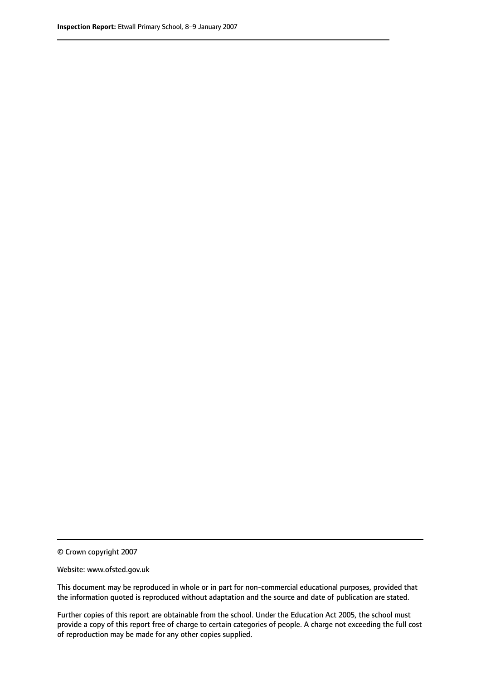© Crown copyright 2007

Website: www.ofsted.gov.uk

This document may be reproduced in whole or in part for non-commercial educational purposes, provided that the information quoted is reproduced without adaptation and the source and date of publication are stated.

Further copies of this report are obtainable from the school. Under the Education Act 2005, the school must provide a copy of this report free of charge to certain categories of people. A charge not exceeding the full cost of reproduction may be made for any other copies supplied.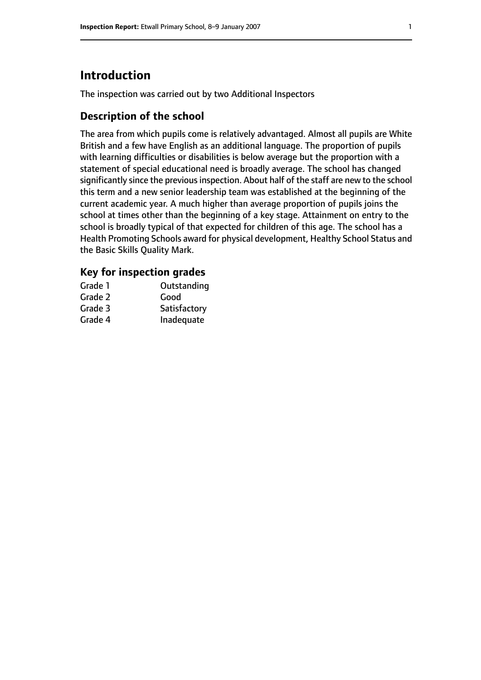# **Introduction**

The inspection was carried out by two Additional Inspectors

## **Description of the school**

The area from which pupils come is relatively advantaged. Almost all pupils are White British and a few have English as an additional language. The proportion of pupils with learning difficulties or disabilities is below average but the proportion with a statement of special educational need is broadly average. The school has changed significantly since the previous inspection. About half of the staff are new to the school this term and a new senior leadership team was established at the beginning of the current academic year. A much higher than average proportion of pupils joins the school at times other than the beginning of a key stage. Attainment on entry to the school is broadly typical of that expected for children of this age. The school has a Health Promoting Schools award for physical development, Healthy School Status and the Basic Skills Quality Mark.

## **Key for inspection grades**

| Grade 1 | Outstanding  |
|---------|--------------|
| Grade 2 | Good         |
| Grade 3 | Satisfactory |
| Grade 4 | Inadequate   |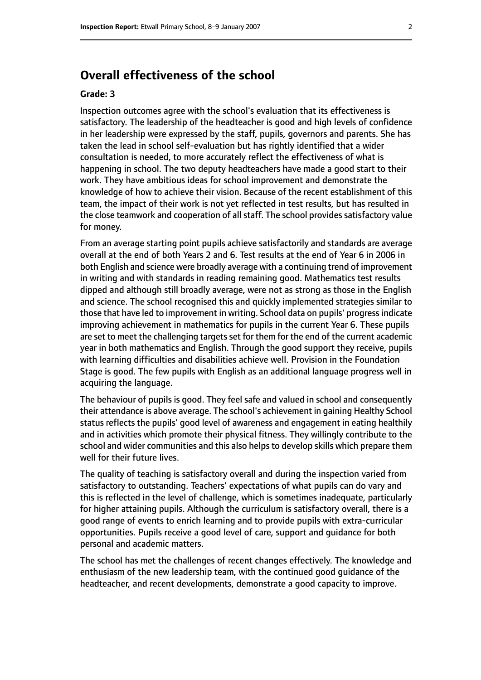# **Overall effectiveness of the school**

#### **Grade: 3**

Inspection outcomes agree with the school's evaluation that its effectiveness is satisfactory. The leadership of the headteacher is good and high levels of confidence in her leadership were expressed by the staff, pupils, governors and parents. She has taken the lead in school self-evaluation but has rightly identified that a wider consultation is needed, to more accurately reflect the effectiveness of what is happening in school. The two deputy headteachers have made a good start to their work. They have ambitious ideas for school improvement and demonstrate the knowledge of how to achieve their vision. Because of the recent establishment of this team, the impact of their work is not yet reflected in test results, but has resulted in the close teamwork and cooperation of all staff. The school provides satisfactory value for money.

From an average starting point pupils achieve satisfactorily and standards are average overall at the end of both Years 2 and 6. Test results at the end of Year 6 in 2006 in both English and science were broadly average with a continuing trend of improvement in writing and with standards in reading remaining good. Mathematics test results dipped and although still broadly average, were not as strong as those in the English and science. The school recognised this and quickly implemented strategies similar to those that have led to improvement in writing. School data on pupils' progress indicate improving achievement in mathematics for pupils in the current Year 6. These pupils are set to meet the challenging targets set for them for the end of the current academic year in both mathematics and English. Through the good support they receive, pupils with learning difficulties and disabilities achieve well. Provision in the Foundation Stage is good. The few pupils with English as an additional language progress well in acquiring the language.

The behaviour of pupils is good. They feel safe and valued in school and consequently their attendance is above average. The school's achievement in gaining Healthy School status reflects the pupils' good level of awareness and engagement in eating healthily and in activities which promote their physical fitness. They willingly contribute to the school and wider communities and this also helps to develop skills which prepare them well for their future lives.

The quality of teaching is satisfactory overall and during the inspection varied from satisfactory to outstanding. Teachers' expectations of what pupils can do vary and this is reflected in the level of challenge, which is sometimes inadequate, particularly for higher attaining pupils. Although the curriculum is satisfactory overall, there is a good range of events to enrich learning and to provide pupils with extra-curricular opportunities. Pupils receive a good level of care, support and guidance for both personal and academic matters.

The school has met the challenges of recent changes effectively. The knowledge and enthusiasm of the new leadership team, with the continued good guidance of the headteacher, and recent developments, demonstrate a good capacity to improve.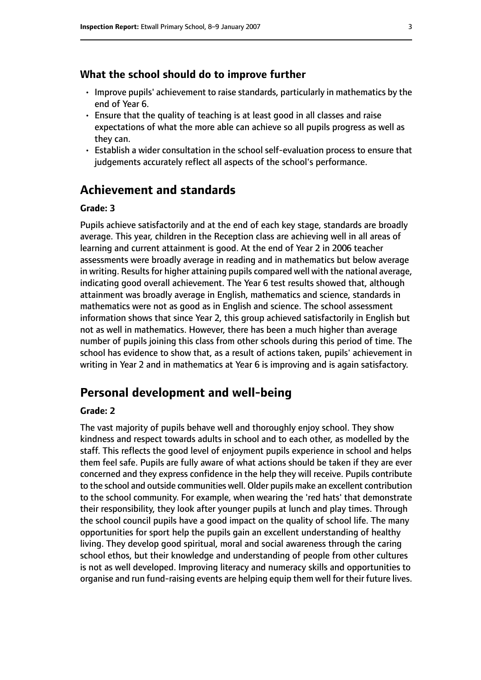#### **What the school should do to improve further**

- Improve pupils' achievement to raise standards, particularly in mathematics by the end of Year 6.
- Ensure that the quality of teaching is at least good in all classes and raise expectations of what the more able can achieve so all pupils progress as well as they can.
- Establish a wider consultation in the school self-evaluation process to ensure that judgements accurately reflect all aspects of the school's performance.

# **Achievement and standards**

#### **Grade: 3**

Pupils achieve satisfactorily and at the end of each key stage, standards are broadly average. This year, children in the Reception class are achieving well in all areas of learning and current attainment is good. At the end of Year 2 in 2006 teacher assessments were broadly average in reading and in mathematics but below average in writing. Results for higher attaining pupils compared well with the national average, indicating good overall achievement. The Year 6 test results showed that, although attainment was broadly average in English, mathematics and science, standards in mathematics were not as good as in English and science. The school assessment information shows that since Year 2, this group achieved satisfactorily in English but not as well in mathematics. However, there has been a much higher than average number of pupils joining this class from other schools during this period of time. The school has evidence to show that, as a result of actions taken, pupils' achievement in writing in Year 2 and in mathematics at Year 6 is improving and is again satisfactory.

## **Personal development and well-being**

#### **Grade: 2**

The vast majority of pupils behave well and thoroughly enjoy school. They show kindness and respect towards adults in school and to each other, as modelled by the staff. This reflects the good level of enjoyment pupils experience in school and helps them feel safe. Pupils are fully aware of what actions should be taken if they are ever concerned and they express confidence in the help they will receive. Pupils contribute to the school and outside communities well. Older pupils make an excellent contribution to the school community. For example, when wearing the 'red hats' that demonstrate their responsibility, they look after younger pupils at lunch and play times. Through the school council pupils have a good impact on the quality of school life. The many opportunities for sport help the pupils gain an excellent understanding of healthy living. They develop good spiritual, moral and social awareness through the caring school ethos, but their knowledge and understanding of people from other cultures is not as well developed. Improving literacy and numeracy skills and opportunities to organise and run fund-raising events are helping equip them well for their future lives.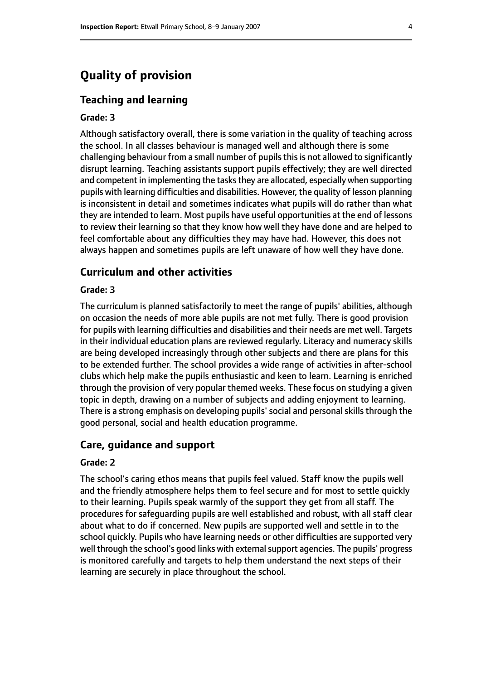# **Quality of provision**

#### **Teaching and learning**

#### **Grade: 3**

Although satisfactory overall, there is some variation in the quality of teaching across the school. In all classes behaviour is managed well and although there is some challenging behaviour from a small number of pupils this is not allowed to significantly disrupt learning. Teaching assistants support pupils effectively; they are well directed and competent in implementing the tasks they are allocated, especially when supporting pupils with learning difficulties and disabilities. However, the quality of lesson planning is inconsistent in detail and sometimes indicates what pupils will do rather than what they are intended to learn. Most pupils have useful opportunities at the end of lessons to review their learning so that they know how well they have done and are helped to feel comfortable about any difficulties they may have had. However, this does not always happen and sometimes pupils are left unaware of how well they have done.

### **Curriculum and other activities**

#### **Grade: 3**

The curriculum is planned satisfactorily to meet the range of pupils' abilities, although on occasion the needs of more able pupils are not met fully. There is good provision for pupils with learning difficulties and disabilities and their needs are met well. Targets in their individual education plans are reviewed regularly. Literacy and numeracy skills are being developed increasingly through other subjects and there are plans for this to be extended further. The school provides a wide range of activities in after-school clubs which help make the pupils enthusiastic and keen to learn. Learning is enriched through the provision of very popular themed weeks. These focus on studying a given topic in depth, drawing on a number of subjects and adding enjoyment to learning. There is a strong emphasis on developing pupils' social and personal skills through the good personal, social and health education programme.

#### **Care, guidance and support**

#### **Grade: 2**

The school's caring ethos means that pupils feel valued. Staff know the pupils well and the friendly atmosphere helps them to feel secure and for most to settle quickly to their learning. Pupils speak warmly of the support they get from all staff. The procedures for safeguarding pupils are well established and robust, with all staff clear about what to do if concerned. New pupils are supported well and settle in to the school quickly. Pupils who have learning needs or other difficulties are supported very well through the school's good links with external support agencies. The pupils' progress is monitored carefully and targets to help them understand the next steps of their learning are securely in place throughout the school.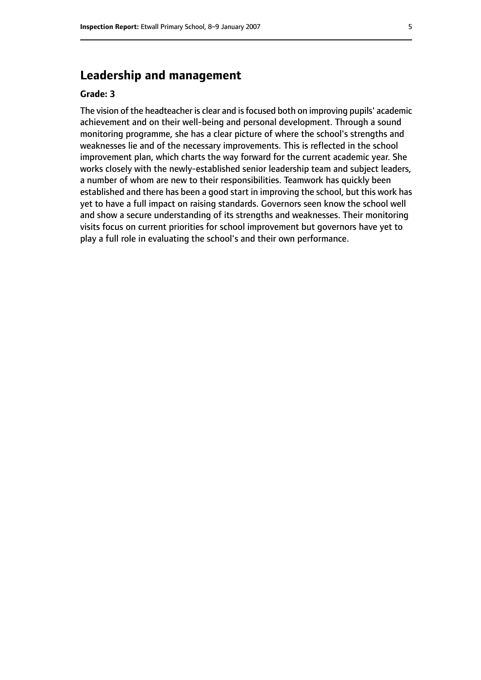# **Leadership and management**

#### **Grade: 3**

The vision of the headteacher is clear and is focused both on improving pupils' academic achievement and on their well-being and personal development. Through a sound monitoring programme, she has a clear picture of where the school's strengths and weaknesses lie and of the necessary improvements. This is reflected in the school improvement plan, which charts the way forward for the current academic year. She works closely with the newly-established senior leadership team and subject leaders, a number of whom are new to their responsibilities. Teamwork has quickly been established and there has been a good start in improving the school, but this work has yet to have a full impact on raising standards. Governors seen know the school well and show a secure understanding of its strengths and weaknesses. Their monitoring visits focus on current priorities for school improvement but governors have yet to play a full role in evaluating the school's and their own performance.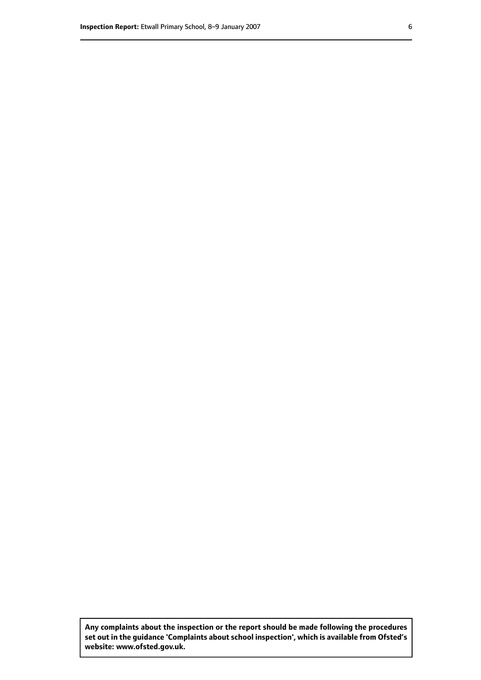**Any complaints about the inspection or the report should be made following the procedures set out inthe guidance 'Complaints about school inspection', whichis available from Ofsted's website: www.ofsted.gov.uk.**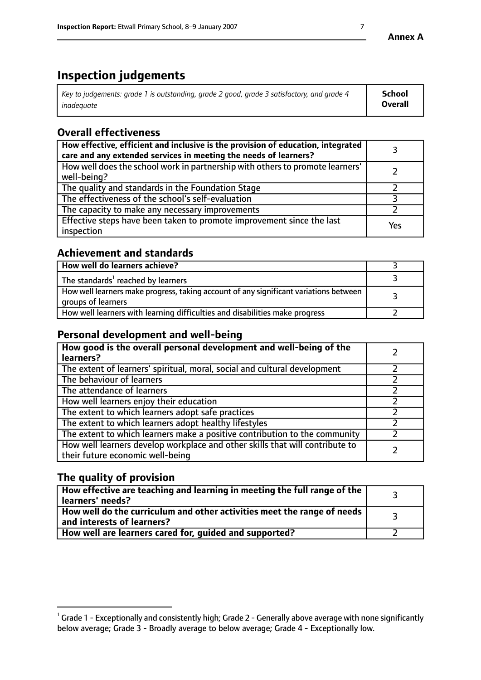# **Inspection judgements**

| $^{\circ}$ Key to judgements: grade 1 is outstanding, grade 2 good, grade 3 satisfactory, and grade 4 $^{\circ}$ | School         |
|------------------------------------------------------------------------------------------------------------------|----------------|
| inadequate                                                                                                       | <b>Overall</b> |

# **Overall effectiveness**

| How effective, efficient and inclusive is the provision of education, integrated<br>care and any extended services in meeting the needs of learners? |     |
|------------------------------------------------------------------------------------------------------------------------------------------------------|-----|
| How well does the school work in partnership with others to promote learners'<br>well-being?                                                         |     |
| The quality and standards in the Foundation Stage                                                                                                    |     |
| The effectiveness of the school's self-evaluation                                                                                                    |     |
| The capacity to make any necessary improvements                                                                                                      |     |
| Effective steps have been taken to promote improvement since the last<br>inspection                                                                  | Yes |

# **Achievement and standards**

| How well do learners achieve?                                                                               |  |
|-------------------------------------------------------------------------------------------------------------|--|
| The standards <sup>1</sup> reached by learners                                                              |  |
| How well learners make progress, taking account of any significant variations between<br>groups of learners |  |
| How well learners with learning difficulties and disabilities make progress                                 |  |

# **Personal development and well-being**

| How good is the overall personal development and well-being of the<br>learners?                                  |  |
|------------------------------------------------------------------------------------------------------------------|--|
| The extent of learners' spiritual, moral, social and cultural development                                        |  |
| The behaviour of learners                                                                                        |  |
| The attendance of learners                                                                                       |  |
| How well learners enjoy their education                                                                          |  |
| The extent to which learners adopt safe practices                                                                |  |
| The extent to which learners adopt healthy lifestyles                                                            |  |
| The extent to which learners make a positive contribution to the community                                       |  |
| How well learners develop workplace and other skills that will contribute to<br>their future economic well-being |  |

# **The quality of provision**

| How effective are teaching and learning in meeting the full range of the<br>  learners' needs?                      |  |
|---------------------------------------------------------------------------------------------------------------------|--|
| $\mid$ How well do the curriculum and other activities meet the range of needs<br>$\mid$ and interests of learners? |  |
| How well are learners cared for, quided and supported?                                                              |  |

 $^1$  Grade 1 - Exceptionally and consistently high; Grade 2 - Generally above average with none significantly below average; Grade 3 - Broadly average to below average; Grade 4 - Exceptionally low.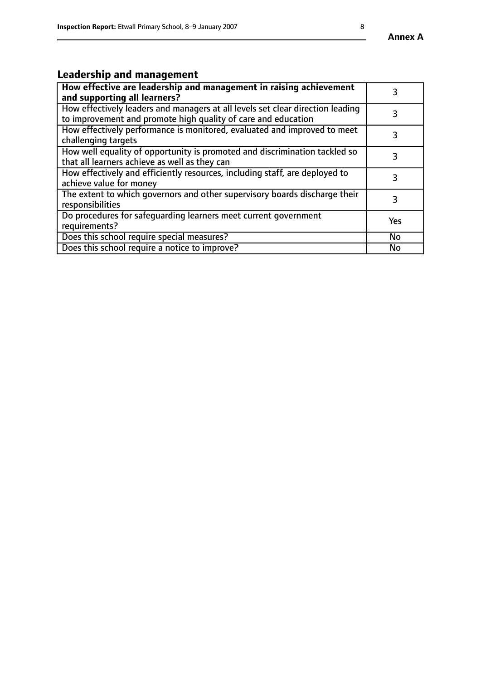# **Leadership and management**

| How effective are leadership and management in raising achievement<br>and supporting all learners?                                              |           |
|-------------------------------------------------------------------------------------------------------------------------------------------------|-----------|
| How effectively leaders and managers at all levels set clear direction leading<br>to improvement and promote high quality of care and education |           |
| How effectively performance is monitored, evaluated and improved to meet<br>challenging targets                                                 |           |
| How well equality of opportunity is promoted and discrimination tackled so<br>that all learners achieve as well as they can                     |           |
| How effectively and efficiently resources, including staff, are deployed to<br>achieve value for money                                          | З         |
| The extent to which governors and other supervisory boards discharge their<br>responsibilities                                                  |           |
| Do procedures for safequarding learners meet current government<br>requirements?                                                                | Yes       |
| Does this school require special measures?                                                                                                      | <b>No</b> |
| Does this school require a notice to improve?                                                                                                   | No        |